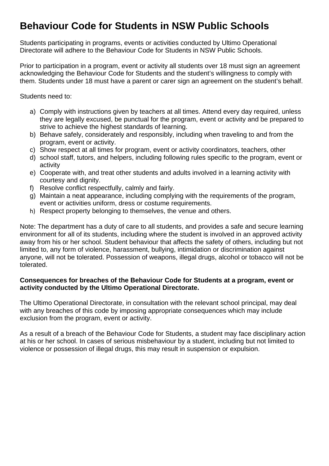### **Behaviour Code for Students in NSW Public Schools**

Students participating in programs, events or activities conducted by Ultimo Operational Directorate will adhere to the Behaviour Code for Students in NSW Public Schools.

Prior to participation in a program, event or activity all students over 18 must sign an agreement acknowledging the Behaviour Code for Students and the student's willingness to comply with them. Students under 18 must have a parent or carer sign an agreement on the student's behalf.

Students need to:

- a) Comply with instructions given by teachers at all times. Attend every day required, unless they are legally excused, be punctual for the program, event or activity and be prepared to strive to achieve the highest standards of learning.
- b) Behave safely, considerately and responsibly, including when traveling to and from the program, event or activity.
- c) Show respect at all times for program, event or activity coordinators, teachers, other
- d) school staff, tutors, and helpers, including following rules specific to the program, event or activity
- e) Cooperate with, and treat other students and adults involved in a learning activity with courtesy and dignity.
- f) Resolve conflict respectfully, calmly and fairly.
- g) Maintain a neat appearance, including complying with the requirements of the program, event or activities uniform, dress or costume requirements.
- h) Respect property belonging to themselves, the venue and others.

Note: The department has a duty of care to all students, and provides a safe and secure learning environment for all of its students, including where the student is involved in an approved activity away from his or her school. Student behaviour that affects the safety of others, including but not limited to, any form of violence, harassment, bullying, intimidation or discrimination against anyone, will not be tolerated. Possession of weapons, illegal drugs, alcohol or tobacco will not be tolerated.

### **Consequences for breaches of the Behaviour Code for Students at a program, event or activity conducted by the Ultimo Operational Directorate.**

The Ultimo Operational Directorate, in consultation with the relevant school principal, may deal with any breaches of this code by imposing appropriate consequences which may include exclusion from the program, event or activity.

As a result of a breach of the Behaviour Code for Students, a student may face disciplinary action at his or her school. In cases of serious misbehaviour by a student, including but not limited to violence or possession of illegal drugs, this may result in suspension or expulsion.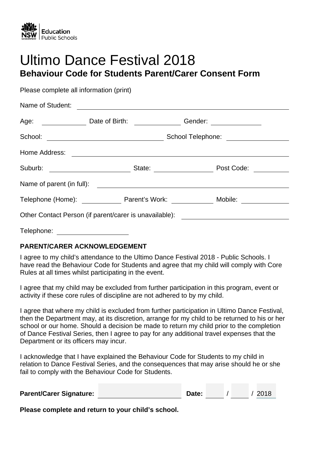

## Ultimo Dance Festival 2018 **Behaviour Code for Students Parent/Carer Consent Form**

Please complete all information (print) Name of Student: Age: Date of Birth: Gender: School: School Telephone: Home Address: Suburb: State: Post Code: Name of parent (in full): Telephone (Home): Telephone (Home): Parent's Work: Mobile: Other Contact Person (if parent/carer is unavailable): Telephone:

### **PARENT/CARER ACKNOWLEDGEMENT**

I agree to my child's attendance to the Ultimo Dance Festival 2018 - Public Schools. I have read the Behaviour Code for Students and agree that my child will comply with Core Rules at all times whilst participating in the event.

I agree that my child may be excluded from further participation in this program, event or activity if these core rules of discipline are not adhered to by my child.

I agree that where my child is excluded from further participation in Ultimo Dance Festival, then the Department may, at its discretion, arrange for my child to be returned to his or her school or our home. Should a decision be made to return my child prior to the completion of Dance Festival Series, then I agree to pay for any additional travel expenses that the Department or its officers may incur.

I acknowledge that I have explained the Behaviour Code for Students to my child in relation to Dance Festival Series, and the consequences that may arise should he or she fail to comply with the Behaviour Code for Students.

| <b>Parent/Carer Signature:</b> |  | Date: |  |  | / 2018 |
|--------------------------------|--|-------|--|--|--------|
|--------------------------------|--|-------|--|--|--------|

**Please complete and return to your child's school.**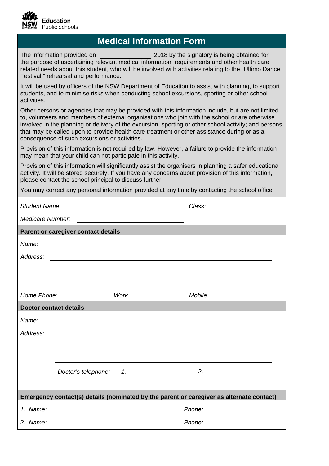

### **Medical Information Form**

The information provided on 2018 by the signatory is being obtained for the purpose of ascertaining relevant medical information, requirements and other health care related needs about this student, who will be involved with activities relating to the "Ultimo Dance Festival " rehearsal and performance.

It will be used by officers of the NSW Department of Education to assist with planning, to support students, and to minimise risks when conducting school excursions, sporting or other school activities.

Other persons or agencies that may be provided with this information include, but are not limited to, volunteers and members of external organisations who join with the school or are otherwise involved in the planning or delivery of the excursion, sporting or other school activity; and persons that may be called upon to provide health care treatment or other assistance during or as a consequence of such excursions or activities.

Provision of this information is not required by law. However, a failure to provide the information may mean that your child can not participate in this activity.

Provision of this information will significantly assist the organisers in planning a safer educational activity. It will be stored securely. If you have any concerns about provision of this information, please contact the school principal to discuss further.

You may correct any personal information provided at any time by contacting the school office.

|                               |                                     | Student Name: <u>contract and the student Name</u>                                                                    | Class: ______________________                                                            |
|-------------------------------|-------------------------------------|-----------------------------------------------------------------------------------------------------------------------|------------------------------------------------------------------------------------------|
| Medicare Number:              |                                     | <u> 1980 - Andrea Britain, politik eta politik eta politik eta politik eta politik eta politik eta politik eta p</u>  |                                                                                          |
|                               | Parent or caregiver contact details |                                                                                                                       |                                                                                          |
| Name:                         |                                     | <u> 1980 - Johann Stoff, deutscher Stoffen und der Stoffen und der Stoffen und der Stoffen und der Stoffen und de</u> |                                                                                          |
| Address:                      |                                     | <u> 1989 - Johann Barn, fransk politik fotograf (d. 1989)</u>                                                         |                                                                                          |
|                               |                                     |                                                                                                                       |                                                                                          |
|                               |                                     |                                                                                                                       |                                                                                          |
|                               |                                     |                                                                                                                       |                                                                                          |
| <b>Doctor contact details</b> |                                     | <u> 1989 - Johann John Stone, markin sanat masjid asl nashrida asl nashrida asl nashrida asl nashrida asl nashri</u>  |                                                                                          |
| Name:                         |                                     |                                                                                                                       |                                                                                          |
| Address:                      |                                     |                                                                                                                       |                                                                                          |
|                               |                                     |                                                                                                                       |                                                                                          |
|                               |                                     |                                                                                                                       |                                                                                          |
|                               |                                     |                                                                                                                       |                                                                                          |
|                               |                                     |                                                                                                                       |                                                                                          |
|                               |                                     |                                                                                                                       | Emergency contact(s) details (nominated by the parent or caregiver as alternate contact) |
|                               |                                     |                                                                                                                       | Phone: _____________________                                                             |
| 2. Name:                      |                                     | <u> 1980 - Johann Barn, fransk politik (d. 1980)</u>                                                                  |                                                                                          |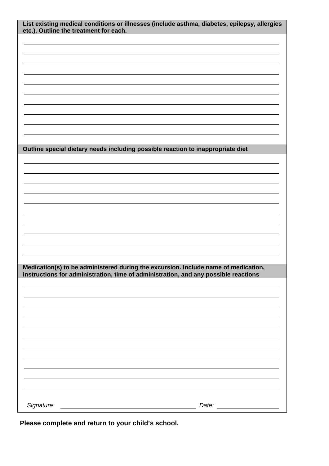| etc.). Outline the treatment for each. | List existing medical conditions or illnesses (include asthma, diabetes, epilepsy, allergies |
|----------------------------------------|----------------------------------------------------------------------------------------------|
|                                        |                                                                                              |
|                                        |                                                                                              |
|                                        |                                                                                              |
|                                        |                                                                                              |
|                                        |                                                                                              |
|                                        |                                                                                              |
|                                        |                                                                                              |
|                                        |                                                                                              |
|                                        |                                                                                              |
|                                        |                                                                                              |
|                                        |                                                                                              |
|                                        |                                                                                              |
|                                        | Outline special dietary needs including possible reaction to inappropriate diet              |
|                                        |                                                                                              |
|                                        |                                                                                              |
|                                        |                                                                                              |
|                                        |                                                                                              |
|                                        |                                                                                              |
|                                        |                                                                                              |
|                                        |                                                                                              |
|                                        |                                                                                              |
|                                        |                                                                                              |
|                                        |                                                                                              |
|                                        |                                                                                              |
|                                        |                                                                                              |
|                                        | Medication(s) to be administered during the excursion. Include name of medication,           |
|                                        | instructions for administration, time of administration, and any possible reactions          |
|                                        |                                                                                              |
|                                        |                                                                                              |
|                                        |                                                                                              |
|                                        |                                                                                              |
|                                        |                                                                                              |
|                                        |                                                                                              |
|                                        |                                                                                              |
|                                        |                                                                                              |
|                                        |                                                                                              |
|                                        |                                                                                              |
|                                        |                                                                                              |
|                                        |                                                                                              |
|                                        |                                                                                              |
|                                        |                                                                                              |
|                                        |                                                                                              |

**Please complete and return to your child's school.**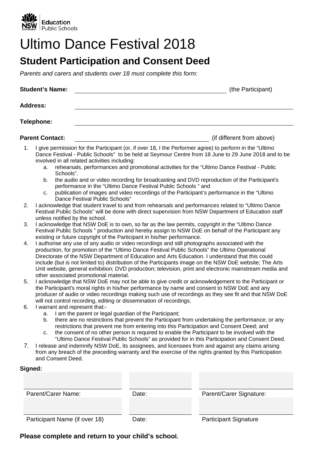

## Ultimo Dance Festival 2018

### **Student Participation and Consent Deed**

*Parents and carers and students over 18 must complete this form:*

| <b>Student's Name:</b> |                                                                                                           | (the Participant)                                             |                                                                                                                                                                                                                                                                                                                                                                                                                                                                                                                           |
|------------------------|-----------------------------------------------------------------------------------------------------------|---------------------------------------------------------------|---------------------------------------------------------------------------------------------------------------------------------------------------------------------------------------------------------------------------------------------------------------------------------------------------------------------------------------------------------------------------------------------------------------------------------------------------------------------------------------------------------------------------|
|                        | <b>Address:</b>                                                                                           |                                                               |                                                                                                                                                                                                                                                                                                                                                                                                                                                                                                                           |
|                        | <b>Telephone:</b>                                                                                         |                                                               |                                                                                                                                                                                                                                                                                                                                                                                                                                                                                                                           |
|                        | <b>Parent Contact:</b>                                                                                    |                                                               | (if different from above)                                                                                                                                                                                                                                                                                                                                                                                                                                                                                                 |
| 1.                     | involved in all related activities including:<br>а.<br>Schools".<br>b.<br>c.                              | performance in the "Ultimo Dance Festival Public Schools" and | I give permission for the Participant (or, if over 18, I the Performer agree) to perform in the "Ultimo"<br>Dance Festival - Public Schools" to be held at Seymour Centre from 18 June to 29 June 2018 and to be<br>rehearsals, performances and promotional activities for the "Ultimo Dance Festival - Public<br>the audio and or video recording for broadcasting and DVD reproduction of the Participant's<br>publication of images and video recordings of the Participant's performance in the "Ultimo              |
| 2.                     | Dance Festival Public Schools"                                                                            |                                                               | I acknowledge that student travel to and from rehearsals and performances related to "Ultimo Dance<br>Festival Public Schools" will be done with direct supervision from NSW Department of Education staff                                                                                                                                                                                                                                                                                                                |
| 3.                     | unless notified by the school.<br>existing or future copyright of the Participant in his/her performance. |                                                               | I acknowledge that NSW DoE is to own, so far as the law permits, copyright in the "Ultimo Dance<br>Festival Public Schools " production and hereby assign to NSW DoE on behalf of the Participant any                                                                                                                                                                                                                                                                                                                     |
| 4.                     | other associated promotional material.                                                                    |                                                               | I authorise any use of any audio or video recordings and still photographs associated with the<br>production, for promotion of the "Ultimo Dance Festival Public Schools" the Ultimo Operational<br>Directorate of the NSW Department of Education and Arts Education. I understand that this could<br>include (but is not limited to) distribution of the Participants image on the NSW DoE website; The Arts<br>Unit website, general exhibition; DVD production; television, print and electronic mainstream media and |
| 5.                     | will not control recording, editing or dissemination of recordings.                                       |                                                               | I acknowledge that NSW DoE may not be able to give credit or acknowledgement to the Participant or<br>the Participant's moral rights in his/her performance by name and consent to NSW DoE and any<br>producer of audio or video recordings making such use of recordings as they see fit and that NSW DoE                                                                                                                                                                                                                |
| 6.                     | I warrant and represent that:-<br>a.<br>b.                                                                | I am the parent or legal guardian of the Participant;         | there are no restrictions that prevent the Participant from undertaking the performance; or any<br>restrictions that prevent me from entering into this Participation and Consent Deed; and<br>the consent of no other person is required to enable the Participant to be involved with the<br>"Ultimo Dance Festival Public Schools" as provided for in this Participation and Consent Deed.                                                                                                                             |
| 7.                     | and Consent Deed.                                                                                         |                                                               | I release and indemnify NSW DoE, its assignees, and licensees from and against any claims arising<br>from any breach of the preceding warranty and the exercise of the rights granted by this Participation                                                                                                                                                                                                                                                                                                               |
|                        | Signed:                                                                                                   |                                                               |                                                                                                                                                                                                                                                                                                                                                                                                                                                                                                                           |
|                        |                                                                                                           |                                                               |                                                                                                                                                                                                                                                                                                                                                                                                                                                                                                                           |
|                        | Parent/Carer Name:                                                                                        | Date:                                                         | Parent/Carer Signature:                                                                                                                                                                                                                                                                                                                                                                                                                                                                                                   |
|                        |                                                                                                           |                                                               |                                                                                                                                                                                                                                                                                                                                                                                                                                                                                                                           |

**Please complete and return to your child's school.**

Participant Name (if over 18) Date: Participant Signature